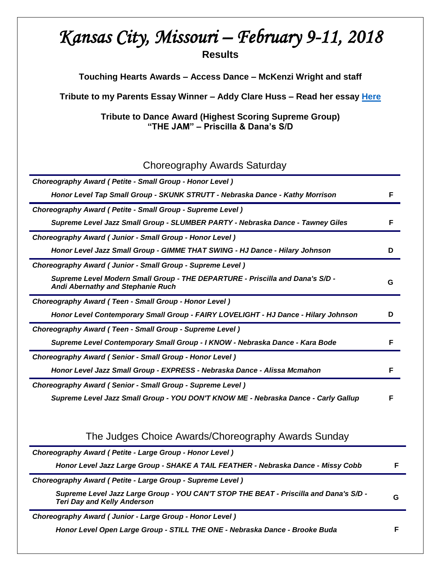# *Kansas City, Missouri – February 9-11, 2018*  **Results**

**Touching Hearts Awards – Access Dance – McKenzi Wright and staff**

**Tribute to my Parents Essay Winner – Addy Clare Huss – Read her essay [Here](http://tributetodance.com/wp-content/uploads/2018/02/kc-essay18.pdf)**

**Tribute to Dance Award (Highest Scoring Supreme Group) "THE JAM" – Priscilla & Dana's S/D**

## Choreography Awards Saturday

| Choreography Award (Petite - Small Group - Honor Level)                                                                   |   |
|---------------------------------------------------------------------------------------------------------------------------|---|
| Honor Level Tap Small Group - SKUNK STRUTT - Nebraska Dance - Kathy Morrison                                              | F |
| Choreography Award ( Petite - Small Group - Supreme Level )                                                               |   |
| Supreme Level Jazz Small Group - SLUMBER PARTY - Nebraska Dance - Tawney Giles                                            |   |
| Choreography Award (Junior - Small Group - Honor Level)                                                                   |   |
| Honor Level Jazz Small Group - GIMME THAT SWING - HJ Dance - Hilary Johnson                                               | n |
| Choreography Award (Junior - Small Group - Supreme Level)                                                                 |   |
| Supreme Level Modern Small Group - THE DEPARTURE - Priscilla and Dana's S/D -<br><b>Andi Abernathy and Stephanie Ruch</b> | G |
| Choreography Award (Teen - Small Group - Honor Level)                                                                     |   |
| Honor Level Contemporary Small Group - FAIRY LOVELIGHT - HJ Dance - Hilary Johnson                                        |   |
| Choreography Award (Teen - Small Group - Supreme Level)                                                                   |   |
| Supreme Level Contemporary Small Group - I KNOW - Nebraska Dance - Kara Bode                                              |   |
| Choreography Award (Senior - Small Group - Honor Level)                                                                   |   |
| Honor Level Jazz Small Group - EXPRESS - Nebraska Dance - Alissa Mcmahon                                                  |   |
| Choreography Award (Senior - Small Group - Supreme Level)                                                                 |   |
| Supreme Level Jazz Small Group - YOU DON'T KNOW ME - Nebraska Dance - Carly Gallup                                        |   |

|  | The Judges Choice Awards/Choreography Awards Sunday |  |  |
|--|-----------------------------------------------------|--|--|
|  |                                                     |  |  |

| Choreography Award (Petite - Large Group - Honor Level)                                                                     |   |
|-----------------------------------------------------------------------------------------------------------------------------|---|
| Honor Level Jazz Large Group - SHAKE A TAIL FEATHER - Nebraska Dance - Missy Cobb                                           |   |
| Choreography Award (Petite - Large Group - Supreme Level)                                                                   |   |
| Supreme Level Jazz Large Group - YOU CAN'T STOP THE BEAT - Priscilla and Dana's S/D -<br><b>Teri Day and Kelly Anderson</b> | G |
| Choreography Award (Junior - Large Group - Honor Level)                                                                     |   |
| Honor Level Open Large Group - STILL THE ONE - Nebraska Dance - Brooke Buda                                                 |   |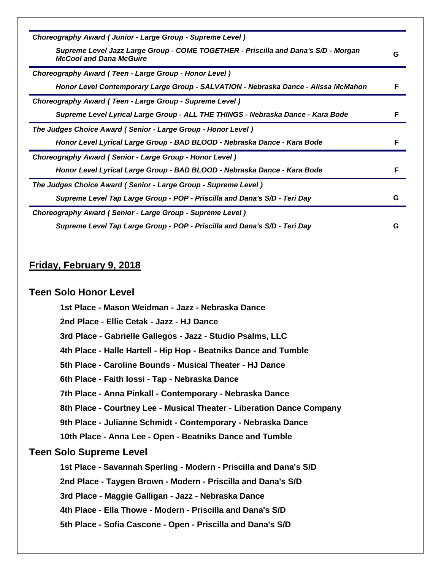| Choreography Award (Junior - Large Group - Supreme Level)                                                            |   |
|----------------------------------------------------------------------------------------------------------------------|---|
| Supreme Level Jazz Large Group - COME TOGETHER - Priscilla and Dana's S/D - Morgan<br><b>McCool and Dana McGuire</b> | G |
| Choreography Award (Teen - Large Group - Honor Level)                                                                |   |
| Honor Level Contemporary Large Group - SALVATION - Nebraska Dance - Alissa McMahon                                   |   |
| Choreography Award (Teen - Large Group - Supreme Level)                                                              |   |
| Supreme Level Lyrical Large Group - ALL THE THINGS - Nebraska Dance - Kara Bode                                      |   |
| The Judges Choice Award (Senior - Large Group - Honor Level)                                                         |   |
| Honor Level Lyrical Large Group - BAD BLOOD - Nebraska Dance - Kara Bode                                             |   |
| Choreography Award (Senior - Large Group - Honor Level)                                                              |   |
| Honor Level Lyrical Large Group - BAD BLOOD - Nebraska Dance - Kara Bode                                             | F |
| The Judges Choice Award (Senior - Large Group - Supreme Level)                                                       |   |
| Supreme Level Tap Large Group - POP - Priscilla and Dana's S/D - Teri Day                                            | G |
| Choreography Award (Senior - Large Group - Supreme Level)                                                            |   |
| Supreme Level Tap Large Group - POP - Priscilla and Dana's S/D - Teri Day                                            | G |

## **Friday, February 9, 2018**

#### **Teen Solo Honor Level**

**1st Place - Mason Weidman - Jazz - Nebraska Dance 2nd Place - Ellie Cetak - Jazz - HJ Dance 3rd Place - Gabrielle Gallegos - Jazz - Studio Psalms, LLC 4th Place - Halle Hartell - Hip Hop - Beatniks Dance and Tumble 5th Place - Caroline Bounds - Musical Theater - HJ Dance 6th Place - Faith Iossi - Tap - Nebraska Dance 7th Place - Anna Pinkall - Contemporary - Nebraska Dance 8th Place - Courtney Lee - Musical Theater - Liberation Dance Company 9th Place - Julianne Schmidt - Contemporary - Nebraska Dance 10th Place - Anna Lee - Open - Beatniks Dance and Tumble Teen Solo Supreme Level 1st Place - Savannah Sperling - Modern - Priscilla and Dana's S/D 2nd Place - Taygen Brown - Modern - Priscilla and Dana's S/D 3rd Place - Maggie Galligan - Jazz - Nebraska Dance 4th Place - Ella Thowe - Modern - Priscilla and Dana's S/D 5th Place - Sofia Cascone - Open - Priscilla and Dana's S/D**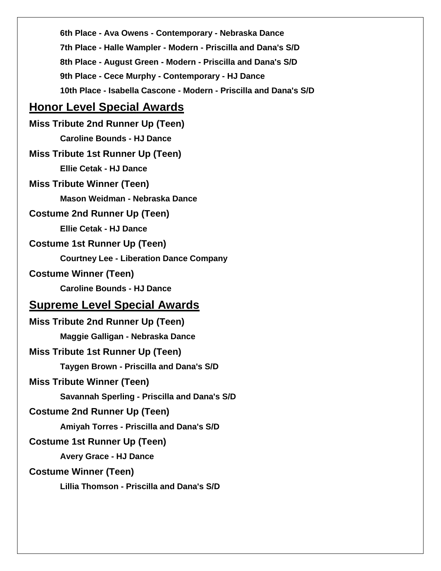**6th Place - Ava Owens - Contemporary - Nebraska Dance 7th Place - Halle Wampler - Modern - Priscilla and Dana's S/D 8th Place - August Green - Modern - Priscilla and Dana's S/D 9th Place - Cece Murphy - Contemporary - HJ Dance 10th Place - Isabella Cascone - Modern - Priscilla and Dana's S/D**

## **Honor Level Special Awards**

**Miss Tribute 2nd Runner Up (Teen) Caroline Bounds - HJ Dance Miss Tribute 1st Runner Up (Teen) Ellie Cetak - HJ Dance Miss Tribute Winner (Teen) Mason Weidman - Nebraska Dance Costume 2nd Runner Up (Teen) Ellie Cetak - HJ Dance Costume 1st Runner Up (Teen) Courtney Lee - Liberation Dance Company Costume Winner (Teen) Caroline Bounds - HJ Dance Supreme Level Special Awards Miss Tribute 2nd Runner Up (Teen) Maggie Galligan - Nebraska Dance Miss Tribute 1st Runner Up (Teen) Taygen Brown - Priscilla and Dana's S/D Miss Tribute Winner (Teen) Savannah Sperling - Priscilla and Dana's S/D Costume 2nd Runner Up (Teen) Amiyah Torres - Priscilla and Dana's S/D Costume 1st Runner Up (Teen) Avery Grace - HJ Dance Costume Winner (Teen) Lillia Thomson - Priscilla and Dana's S/D**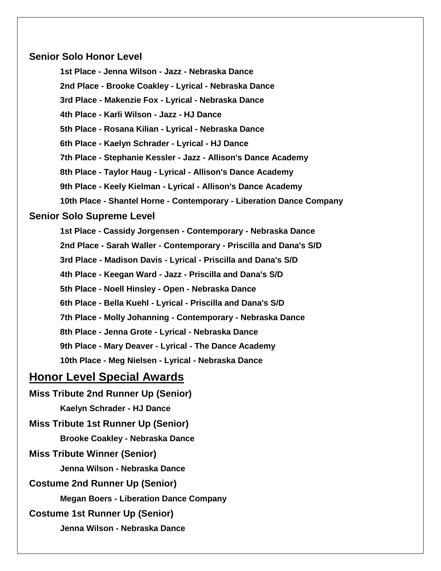### **Senior Solo Honor Level**

**1st Place - Jenna Wilson - Jazz - Nebraska Dance 2nd Place - Brooke Coakley - Lyrical - Nebraska Dance 3rd Place - Makenzie Fox - Lyrical - Nebraska Dance 4th Place - Karli Wilson - Jazz - HJ Dance 5th Place - Rosana Kilian - Lyrical - Nebraska Dance 6th Place - Kaelyn Schrader - Lyrical - HJ Dance 7th Place - Stephanie Kessler - Jazz - Allison's Dance Academy 8th Place - Taylor Haug - Lyrical - Allison's Dance Academy 9th Place - Keely Kielman - Lyrical - Allison's Dance Academy 10th Place - Shantel Horne - Contemporary - Liberation Dance Company**

### **Senior Solo Supreme Level**

**1st Place - Cassidy Jorgensen - Contemporary - Nebraska Dance 2nd Place - Sarah Waller - Contemporary - Priscilla and Dana's S/D 3rd Place - Madison Davis - Lyrical - Priscilla and Dana's S/D 4th Place - Keegan Ward - Jazz - Priscilla and Dana's S/D 5th Place - Noell Hinsley - Open - Nebraska Dance 6th Place - Bella Kuehl - Lyrical - Priscilla and Dana's S/D 7th Place - Molly Johanning - Contemporary - Nebraska Dance 8th Place - Jenna Grote - Lyrical - Nebraska Dance 9th Place - Mary Deaver - Lyrical - The Dance Academy 10th Place - Meg Nielsen - Lyrical - Nebraska Dance**

## **Honor Level Special Awards**

**Miss Tribute 2nd Runner Up (Senior) Kaelyn Schrader - HJ Dance Miss Tribute 1st Runner Up (Senior) Brooke Coakley - Nebraska Dance Miss Tribute Winner (Senior) Jenna Wilson - Nebraska Dance Costume 2nd Runner Up (Senior) Megan Boers - Liberation Dance Company Costume 1st Runner Up (Senior) Jenna Wilson - Nebraska Dance**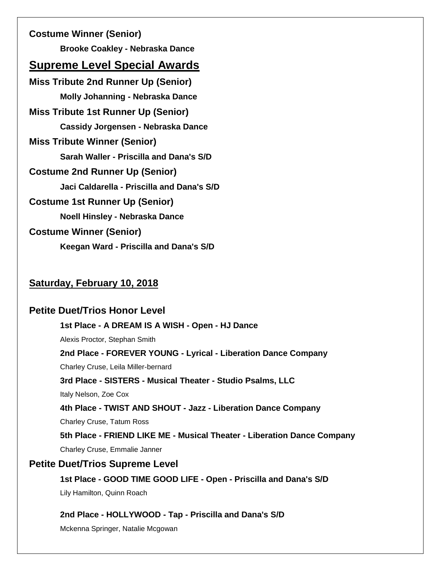**Costume Winner (Senior) Brooke Coakley - Nebraska Dance Supreme Level Special Awards Miss Tribute 2nd Runner Up (Senior) Molly Johanning - Nebraska Dance Miss Tribute 1st Runner Up (Senior) Cassidy Jorgensen - Nebraska Dance Miss Tribute Winner (Senior) Sarah Waller - Priscilla and Dana's S/D Costume 2nd Runner Up (Senior) Jaci Caldarella - Priscilla and Dana's S/D Costume 1st Runner Up (Senior) Noell Hinsley - Nebraska Dance Costume Winner (Senior) Keegan Ward - Priscilla and Dana's S/D**

## **Saturday, February 10, 2018**

### **Petite Duet/Trios Honor Level**

**1st Place - A DREAM IS A WISH - Open - HJ Dance**

Alexis Proctor, Stephan Smith

**2nd Place - FOREVER YOUNG - Lyrical - Liberation Dance Company**

Charley Cruse, Leila Miller-bernard

**3rd Place - SISTERS - Musical Theater - Studio Psalms, LLC**

Italy Nelson, Zoe Cox

**4th Place - TWIST AND SHOUT - Jazz - Liberation Dance Company**

Charley Cruse, Tatum Ross

**5th Place - FRIEND LIKE ME - Musical Theater - Liberation Dance Company** Charley Cruse, Emmalie Janner

### **Petite Duet/Trios Supreme Level**

**1st Place - GOOD TIME GOOD LIFE - Open - Priscilla and Dana's S/D**

Lily Hamilton, Quinn Roach

**2nd Place - HOLLYWOOD - Tap - Priscilla and Dana's S/D**

Mckenna Springer, Natalie Mcgowan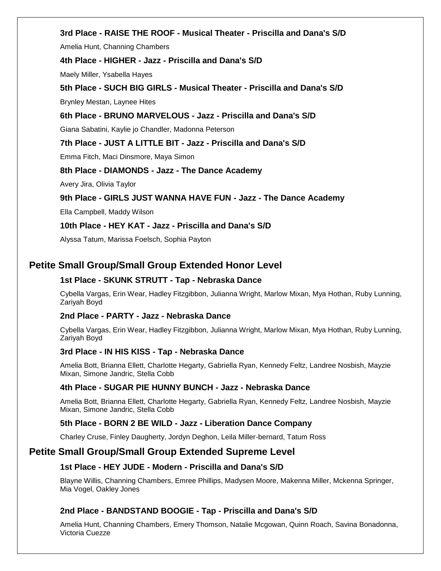#### **3rd Place - RAISE THE ROOF - Musical Theater - Priscilla and Dana's S/D**

Amelia Hunt, Channing Chambers

#### **4th Place - HIGHER - Jazz - Priscilla and Dana's S/D**

Maely Miller, Ysabella Hayes

### **5th Place - SUCH BIG GIRLS - Musical Theater - Priscilla and Dana's S/D**

Brynley Mestan, Laynee Hites

#### **6th Place - BRUNO MARVELOUS - Jazz - Priscilla and Dana's S/D**

Giana Sabatini, Kaylie jo Chandler, Madonna Peterson

#### **7th Place - JUST A LITTLE BIT - Jazz - Priscilla and Dana's S/D**

Emma Fitch, Maci Dinsmore, Maya Simon

#### **8th Place - DIAMONDS - Jazz - The Dance Academy**

Avery Jira, Olivia Taylor

#### **9th Place - GIRLS JUST WANNA HAVE FUN - Jazz - The Dance Academy**

Ella Campbell, Maddy Wilson

#### **10th Place - HEY KAT - Jazz - Priscilla and Dana's S/D**

Alyssa Tatum, Marissa Foelsch, Sophia Payton

### **Petite Small Group/Small Group Extended Honor Level**

#### **1st Place - SKUNK STRUTT - Tap - Nebraska Dance**

Cybella Vargas, Erin Wear, Hadley Fitzgibbon, Julianna Wright, Marlow Mixan, Mya Hothan, Ruby Lunning, Zariyah Boyd

#### **2nd Place - PARTY - Jazz - Nebraska Dance**

Cybella Vargas, Erin Wear, Hadley Fitzgibbon, Julianna Wright, Marlow Mixan, Mya Hothan, Ruby Lunning, Zariyah Boyd

#### **3rd Place - IN HIS KISS - Tap - Nebraska Dance**

Amelia Bott, Brianna Ellett, Charlotte Hegarty, Gabriella Ryan, Kennedy Feltz, Landree Nosbish, Mayzie Mixan, Simone Jandric, Stella Cobb

#### **4th Place - SUGAR PIE HUNNY BUNCH - Jazz - Nebraska Dance**

Amelia Bott, Brianna Ellett, Charlotte Hegarty, Gabriella Ryan, Kennedy Feltz, Landree Nosbish, Mayzie Mixan, Simone Jandric, Stella Cobb

#### **5th Place - BORN 2 BE WILD - Jazz - Liberation Dance Company**

Charley Cruse, Finley Daugherty, Jordyn Deghon, Leila Miller-bernard, Tatum Ross

### **Petite Small Group/Small Group Extended Supreme Level**

#### **1st Place - HEY JUDE - Modern - Priscilla and Dana's S/D**

Blayne Willis, Channing Chambers, Emree Phillips, Madysen Moore, Makenna Miller, Mckenna Springer, Mia Vogel, Oakley Jones

#### **2nd Place - BANDSTAND BOOGIE - Tap - Priscilla and Dana's S/D**

Amelia Hunt, Channing Chambers, Emery Thomson, Natalie Mcgowan, Quinn Roach, Savina Bonadonna, Victoria Cuezze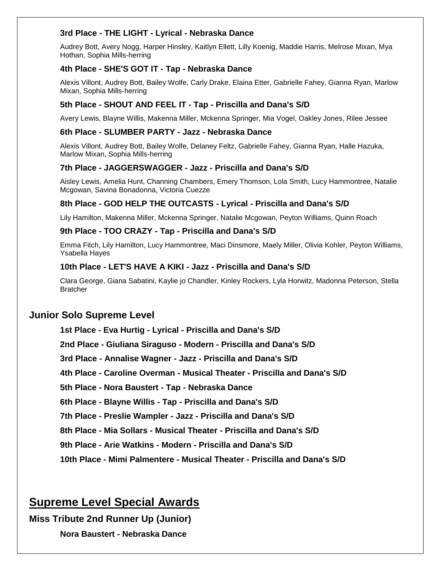#### **3rd Place - THE LIGHT - Lyrical - Nebraska Dance**

Audrey Bott, Avery Nogg, Harper Hinsley, Kaitlyn Ellett, Lilly Koenig, Maddie Harris, Melrose Mixan, Mya Hothan, Sophia Mills-herring

#### **4th Place - SHE'S GOT IT - Tap - Nebraska Dance**

Alexis Villont, Audrey Bott, Bailey Wolfe, Carly Drake, Elaina Etter, Gabrielle Fahey, Gianna Ryan, Marlow Mixan, Sophia Mills-herring

#### **5th Place - SHOUT AND FEEL IT - Tap - Priscilla and Dana's S/D**

Avery Lewis, Blayne Willis, Makenna Miller, Mckenna Springer, Mia Vogel, Oakley Jones, Rilee Jessee

#### **6th Place - SLUMBER PARTY - Jazz - Nebraska Dance**

Alexis Villont, Audrey Bott, Bailey Wolfe, Delaney Feltz, Gabrielle Fahey, Gianna Ryan, Halle Hazuka, Marlow Mixan, Sophia Mills-herring

#### **7th Place - JAGGERSWAGGER - Jazz - Priscilla and Dana's S/D**

Aisley Lewis, Amelia Hunt, Channing Chambers, Emery Thomson, Lola Smith, Lucy Hammontree, Natalie Mcgowan, Savina Bonadonna, Victoria Cuezze

#### **8th Place - GOD HELP THE OUTCASTS - Lyrical - Priscilla and Dana's S/D**

Lily Hamilton, Makenna Miller, Mckenna Springer, Natalie Mcgowan, Peyton Williams, Quinn Roach

#### **9th Place - TOO CRAZY - Tap - Priscilla and Dana's S/D**

Emma Fitch, Lily Hamilton, Lucy Hammontree, Maci Dinsmore, Maely Miller, Olivia Kohler, Peyton Williams, Ysabella Hayes

#### **10th Place - LET'S HAVE A KIKI - Jazz - Priscilla and Dana's S/D**

Clara George, Giana Sabatini, Kaylie jo Chandler, Kinley Rockers, Lyla Horwitz, Madonna Peterson, Stella **Bratcher** 

### **Junior Solo Supreme Level**

**1st Place - Eva Hurtig - Lyrical - Priscilla and Dana's S/D 2nd Place - Giuliana Siraguso - Modern - Priscilla and Dana's S/D 3rd Place - Annalise Wagner - Jazz - Priscilla and Dana's S/D 4th Place - Caroline Overman - Musical Theater - Priscilla and Dana's S/D 5th Place - Nora Baustert - Tap - Nebraska Dance 6th Place - Blayne Willis - Tap - Priscilla and Dana's S/D 7th Place - Preslie Wampler - Jazz - Priscilla and Dana's S/D 8th Place - Mia Sollars - Musical Theater - Priscilla and Dana's S/D 9th Place - Arie Watkins - Modern - Priscilla and Dana's S/D 10th Place - Mimi Palmentere - Musical Theater - Priscilla and Dana's S/D**

## **Supreme Level Special Awards**

**Miss Tribute 2nd Runner Up (Junior)**

**Nora Baustert - Nebraska Dance**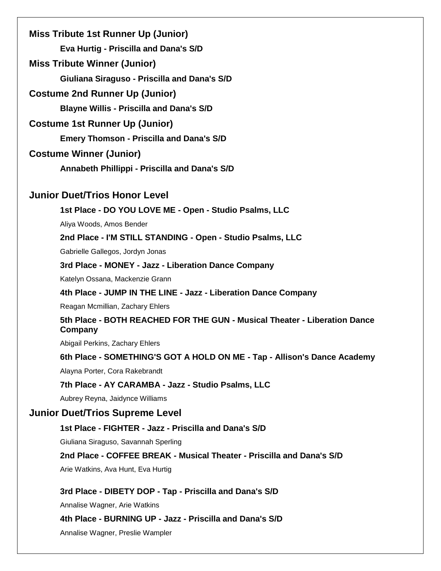**Miss Tribute 1st Runner Up (Junior) Eva Hurtig - Priscilla and Dana's S/D**

**Miss Tribute Winner (Junior)**

**Giuliana Siraguso - Priscilla and Dana's S/D**

**Costume 2nd Runner Up (Junior)**

**Blayne Willis - Priscilla and Dana's S/D**

**Costume 1st Runner Up (Junior)**

**Emery Thomson - Priscilla and Dana's S/D**

### **Costume Winner (Junior)**

**Annabeth Phillippi - Priscilla and Dana's S/D**

### **Junior Duet/Trios Honor Level**

**1st Place - DO YOU LOVE ME - Open - Studio Psalms, LLC**

Aliya Woods, Amos Bender

**2nd Place - I'M STILL STANDING - Open - Studio Psalms, LLC**

Gabrielle Gallegos, Jordyn Jonas

**3rd Place - MONEY - Jazz - Liberation Dance Company**

Katelyn Ossana, Mackenzie Grann

**4th Place - JUMP IN THE LINE - Jazz - Liberation Dance Company**

Reagan Mcmillian, Zachary Ehlers

### **5th Place - BOTH REACHED FOR THE GUN - Musical Theater - Liberation Dance Company**

Abigail Perkins, Zachary Ehlers

#### **6th Place - SOMETHING'S GOT A HOLD ON ME - Tap - Allison's Dance Academy**

Alayna Porter, Cora Rakebrandt

#### **7th Place - AY CARAMBA - Jazz - Studio Psalms, LLC**

Aubrey Reyna, Jaidynce Williams

### **Junior Duet/Trios Supreme Level**

### **1st Place - FIGHTER - Jazz - Priscilla and Dana's S/D**

Giuliana Siraguso, Savannah Sperling

#### **2nd Place - COFFEE BREAK - Musical Theater - Priscilla and Dana's S/D**

Arie Watkins, Ava Hunt, Eva Hurtig

#### **3rd Place - DIBETY DOP - Tap - Priscilla and Dana's S/D**

Annalise Wagner, Arie Watkins

### **4th Place - BURNING UP - Jazz - Priscilla and Dana's S/D**

Annalise Wagner, Preslie Wampler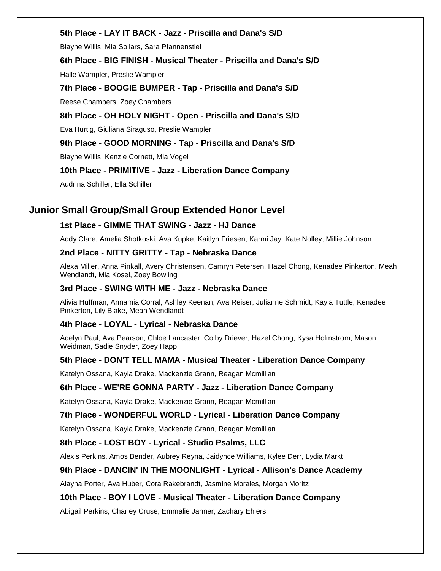#### **5th Place - LAY IT BACK - Jazz - Priscilla and Dana's S/D**

Blayne Willis, Mia Sollars, Sara Pfannenstiel

#### **6th Place - BIG FINISH - Musical Theater - Priscilla and Dana's S/D**

Halle Wampler, Preslie Wampler

**7th Place - BOOGIE BUMPER - Tap - Priscilla and Dana's S/D** Reese Chambers, Zoey Chambers

#### **8th Place - OH HOLY NIGHT - Open - Priscilla and Dana's S/D**

Eva Hurtig, Giuliana Siraguso, Preslie Wampler

#### **9th Place - GOOD MORNING - Tap - Priscilla and Dana's S/D**

Blayne Willis, Kenzie Cornett, Mia Vogel

#### **10th Place - PRIMITIVE - Jazz - Liberation Dance Company**

Audrina Schiller, Ella Schiller

### **Junior Small Group/Small Group Extended Honor Level**

#### **1st Place - GIMME THAT SWING - Jazz - HJ Dance**

Addy Clare, Amelia Shotkoski, Ava Kupke, Kaitlyn Friesen, Karmi Jay, Kate Nolley, Millie Johnson

#### **2nd Place - NITTY GRITTY - Tap - Nebraska Dance**

Alexa Miller, Anna Pinkall, Avery Christensen, Camryn Petersen, Hazel Chong, Kenadee Pinkerton, Meah Wendlandt, Mia Kosel, Zoey Bowling

#### **3rd Place - SWING WITH ME - Jazz - Nebraska Dance**

Alivia Huffman, Annamia Corral, Ashley Keenan, Ava Reiser, Julianne Schmidt, Kayla Tuttle, Kenadee Pinkerton, Lily Blake, Meah Wendlandt

#### **4th Place - LOYAL - Lyrical - Nebraska Dance**

Adelyn Paul, Ava Pearson, Chloe Lancaster, Colby Driever, Hazel Chong, Kysa Holmstrom, Mason Weidman, Sadie Snyder, Zoey Happ

#### **5th Place - DON'T TELL MAMA - Musical Theater - Liberation Dance Company**

Katelyn Ossana, Kayla Drake, Mackenzie Grann, Reagan Mcmillian

#### **6th Place - WE'RE GONNA PARTY - Jazz - Liberation Dance Company**

Katelyn Ossana, Kayla Drake, Mackenzie Grann, Reagan Mcmillian

#### **7th Place - WONDERFUL WORLD - Lyrical - Liberation Dance Company**

Katelyn Ossana, Kayla Drake, Mackenzie Grann, Reagan Mcmillian

#### **8th Place - LOST BOY - Lyrical - Studio Psalms, LLC**

Alexis Perkins, Amos Bender, Aubrey Reyna, Jaidynce Williams, Kylee Derr, Lydia Markt

#### **9th Place - DANCIN' IN THE MOONLIGHT - Lyrical - Allison's Dance Academy**

Alayna Porter, Ava Huber, Cora Rakebrandt, Jasmine Morales, Morgan Moritz

#### **10th Place - BOY I LOVE - Musical Theater - Liberation Dance Company**

Abigail Perkins, Charley Cruse, Emmalie Janner, Zachary Ehlers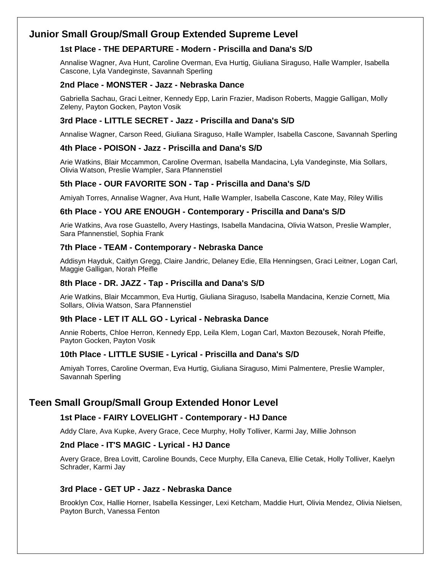## **Junior Small Group/Small Group Extended Supreme Level**

### **1st Place - THE DEPARTURE - Modern - Priscilla and Dana's S/D**

Annalise Wagner, Ava Hunt, Caroline Overman, Eva Hurtig, Giuliana Siraguso, Halle Wampler, Isabella Cascone, Lyla Vandeginste, Savannah Sperling

#### **2nd Place - MONSTER - Jazz - Nebraska Dance**

Gabriella Sachau, Graci Leitner, Kennedy Epp, Larin Frazier, Madison Roberts, Maggie Galligan, Molly Zeleny, Payton Gocken, Payton Vosik

### **3rd Place - LITTLE SECRET - Jazz - Priscilla and Dana's S/D**

Annalise Wagner, Carson Reed, Giuliana Siraguso, Halle Wampler, Isabella Cascone, Savannah Sperling

#### **4th Place - POISON - Jazz - Priscilla and Dana's S/D**

Arie Watkins, Blair Mccammon, Caroline Overman, Isabella Mandacina, Lyla Vandeginste, Mia Sollars, Olivia Watson, Preslie Wampler, Sara Pfannenstiel

### **5th Place - OUR FAVORITE SON - Tap - Priscilla and Dana's S/D**

Amiyah Torres, Annalise Wagner, Ava Hunt, Halle Wampler, Isabella Cascone, Kate May, Riley Willis

#### **6th Place - YOU ARE ENOUGH - Contemporary - Priscilla and Dana's S/D**

Arie Watkins, Ava rose Guastello, Avery Hastings, Isabella Mandacina, Olivia Watson, Preslie Wampler, Sara Pfannenstiel, Sophia Frank

#### **7th Place - TEAM - Contemporary - Nebraska Dance**

Addisyn Hayduk, Caitlyn Gregg, Claire Jandric, Delaney Edie, Ella Henningsen, Graci Leitner, Logan Carl, Maggie Galligan, Norah Pfeifle

#### **8th Place - DR. JAZZ - Tap - Priscilla and Dana's S/D**

Arie Watkins, Blair Mccammon, Eva Hurtig, Giuliana Siraguso, Isabella Mandacina, Kenzie Cornett, Mia Sollars, Olivia Watson, Sara Pfannenstiel

#### **9th Place - LET IT ALL GO - Lyrical - Nebraska Dance**

Annie Roberts, Chloe Herron, Kennedy Epp, Leila Klem, Logan Carl, Maxton Bezousek, Norah Pfeifle, Payton Gocken, Payton Vosik

#### **10th Place - LITTLE SUSIE - Lyrical - Priscilla and Dana's S/D**

Amiyah Torres, Caroline Overman, Eva Hurtig, Giuliana Siraguso, Mimi Palmentere, Preslie Wampler, Savannah Sperling

## **Teen Small Group/Small Group Extended Honor Level**

#### **1st Place - FAIRY LOVELIGHT - Contemporary - HJ Dance**

Addy Clare, Ava Kupke, Avery Grace, Cece Murphy, Holly Tolliver, Karmi Jay, Millie Johnson

#### **2nd Place - IT'S MAGIC - Lyrical - HJ Dance**

Avery Grace, Brea Lovitt, Caroline Bounds, Cece Murphy, Ella Caneva, Ellie Cetak, Holly Tolliver, Kaelyn Schrader, Karmi Jay

#### **3rd Place - GET UP - Jazz - Nebraska Dance**

Brooklyn Cox, Hallie Horner, Isabella Kessinger, Lexi Ketcham, Maddie Hurt, Olivia Mendez, Olivia Nielsen, Payton Burch, Vanessa Fenton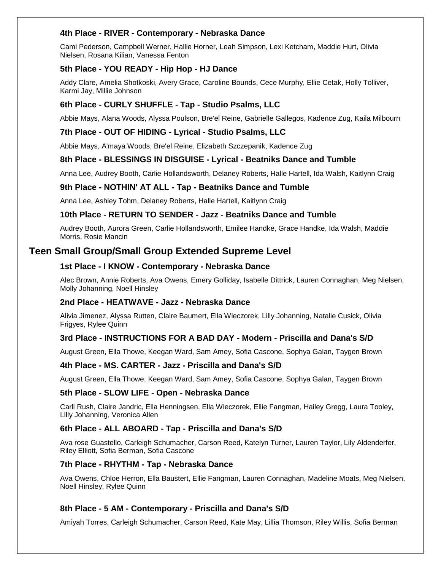#### **4th Place - RIVER - Contemporary - Nebraska Dance**

Cami Pederson, Campbell Werner, Hallie Horner, Leah Simpson, Lexi Ketcham, Maddie Hurt, Olivia Nielsen, Rosana Kilian, Vanessa Fenton

#### **5th Place - YOU READY - Hip Hop - HJ Dance**

Addy Clare, Amelia Shotkoski, Avery Grace, Caroline Bounds, Cece Murphy, Ellie Cetak, Holly Tolliver, Karmi Jay, Millie Johnson

#### **6th Place - CURLY SHUFFLE - Tap - Studio Psalms, LLC**

Abbie Mays, Alana Woods, Alyssa Poulson, Bre'el Reine, Gabrielle Gallegos, Kadence Zug, Kaila Milbourn

#### **7th Place - OUT OF HIDING - Lyrical - Studio Psalms, LLC**

Abbie Mays, A'maya Woods, Bre'el Reine, Elizabeth Szczepanik, Kadence Zug

#### **8th Place - BLESSINGS IN DISGUISE - Lyrical - Beatniks Dance and Tumble**

Anna Lee, Audrey Booth, Carlie Hollandsworth, Delaney Roberts, Halle Hartell, Ida Walsh, Kaitlynn Craig

#### **9th Place - NOTHIN' AT ALL - Tap - Beatniks Dance and Tumble**

Anna Lee, Ashley Tohm, Delaney Roberts, Halle Hartell, Kaitlynn Craig

#### **10th Place - RETURN TO SENDER - Jazz - Beatniks Dance and Tumble**

Audrey Booth, Aurora Green, Carlie Hollandsworth, Emilee Handke, Grace Handke, Ida Walsh, Maddie Morris, Rosie Mancin

### **Teen Small Group/Small Group Extended Supreme Level**

#### **1st Place - I KNOW - Contemporary - Nebraska Dance**

Alec Brown, Annie Roberts, Ava Owens, Emery Golliday, Isabelle Dittrick, Lauren Connaghan, Meg Nielsen, Molly Johanning, Noell Hinsley

#### **2nd Place - HEATWAVE - Jazz - Nebraska Dance**

Alivia Jimenez, Alyssa Rutten, Claire Baumert, Ella Wieczorek, Lilly Johanning, Natalie Cusick, Olivia Frigyes, Rylee Quinn

#### **3rd Place - INSTRUCTIONS FOR A BAD DAY - Modern - Priscilla and Dana's S/D**

August Green, Ella Thowe, Keegan Ward, Sam Amey, Sofia Cascone, Sophya Galan, Taygen Brown

#### **4th Place - MS. CARTER - Jazz - Priscilla and Dana's S/D**

August Green, Ella Thowe, Keegan Ward, Sam Amey, Sofia Cascone, Sophya Galan, Taygen Brown

#### **5th Place - SLOW LIFE - Open - Nebraska Dance**

Carli Rush, Claire Jandric, Ella Henningsen, Ella Wieczorek, Ellie Fangman, Hailey Gregg, Laura Tooley, Lilly Johanning, Veronica Allen

#### **6th Place - ALL ABOARD - Tap - Priscilla and Dana's S/D**

Ava rose Guastello, Carleigh Schumacher, Carson Reed, Katelyn Turner, Lauren Taylor, Lily Aldenderfer, Riley Elliott, Sofia Berman, Sofia Cascone

#### **7th Place - RHYTHM - Tap - Nebraska Dance**

Ava Owens, Chloe Herron, Ella Baustert, Ellie Fangman, Lauren Connaghan, Madeline Moats, Meg Nielsen, Noell Hinsley, Rylee Quinn

#### **8th Place - 5 AM - Contemporary - Priscilla and Dana's S/D**

Amiyah Torres, Carleigh Schumacher, Carson Reed, Kate May, Lillia Thomson, Riley Willis, Sofia Berman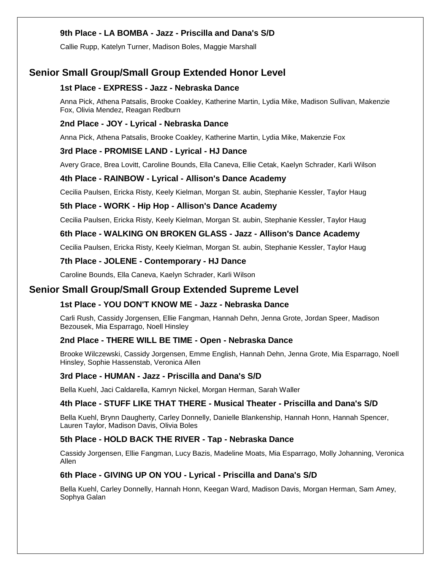#### **9th Place - LA BOMBA - Jazz - Priscilla and Dana's S/D**

Callie Rupp, Katelyn Turner, Madison Boles, Maggie Marshall

### **Senior Small Group/Small Group Extended Honor Level**

#### **1st Place - EXPRESS - Jazz - Nebraska Dance**

Anna Pick, Athena Patsalis, Brooke Coakley, Katherine Martin, Lydia Mike, Madison Sullivan, Makenzie Fox, Olivia Mendez, Reagan Redburn

#### **2nd Place - JOY - Lyrical - Nebraska Dance**

Anna Pick, Athena Patsalis, Brooke Coakley, Katherine Martin, Lydia Mike, Makenzie Fox

#### **3rd Place - PROMISE LAND - Lyrical - HJ Dance**

Avery Grace, Brea Lovitt, Caroline Bounds, Ella Caneva, Ellie Cetak, Kaelyn Schrader, Karli Wilson

#### **4th Place - RAINBOW - Lyrical - Allison's Dance Academy**

Cecilia Paulsen, Ericka Risty, Keely Kielman, Morgan St. aubin, Stephanie Kessler, Taylor Haug

#### **5th Place - WORK - Hip Hop - Allison's Dance Academy**

Cecilia Paulsen, Ericka Risty, Keely Kielman, Morgan St. aubin, Stephanie Kessler, Taylor Haug

#### **6th Place - WALKING ON BROKEN GLASS - Jazz - Allison's Dance Academy**

Cecilia Paulsen, Ericka Risty, Keely Kielman, Morgan St. aubin, Stephanie Kessler, Taylor Haug

#### **7th Place - JOLENE - Contemporary - HJ Dance**

Caroline Bounds, Ella Caneva, Kaelyn Schrader, Karli Wilson

#### **Senior Small Group/Small Group Extended Supreme Level**

#### **1st Place - YOU DON'T KNOW ME - Jazz - Nebraska Dance**

Carli Rush, Cassidy Jorgensen, Ellie Fangman, Hannah Dehn, Jenna Grote, Jordan Speer, Madison Bezousek, Mia Esparrago, Noell Hinsley

#### **2nd Place - THERE WILL BE TIME - Open - Nebraska Dance**

Brooke Wilczewski, Cassidy Jorgensen, Emme English, Hannah Dehn, Jenna Grote, Mia Esparrago, Noell Hinsley, Sophie Hassenstab, Veronica Allen

#### **3rd Place - HUMAN - Jazz - Priscilla and Dana's S/D**

Bella Kuehl, Jaci Caldarella, Kamryn Nickel, Morgan Herman, Sarah Waller

#### **4th Place - STUFF LIKE THAT THERE - Musical Theater - Priscilla and Dana's S/D**

Bella Kuehl, Brynn Daugherty, Carley Donnelly, Danielle Blankenship, Hannah Honn, Hannah Spencer, Lauren Taylor, Madison Davis, Olivia Boles

#### **5th Place - HOLD BACK THE RIVER - Tap - Nebraska Dance**

Cassidy Jorgensen, Ellie Fangman, Lucy Bazis, Madeline Moats, Mia Esparrago, Molly Johanning, Veronica Allen

#### **6th Place - GIVING UP ON YOU - Lyrical - Priscilla and Dana's S/D**

Bella Kuehl, Carley Donnelly, Hannah Honn, Keegan Ward, Madison Davis, Morgan Herman, Sam Amey, Sophya Galan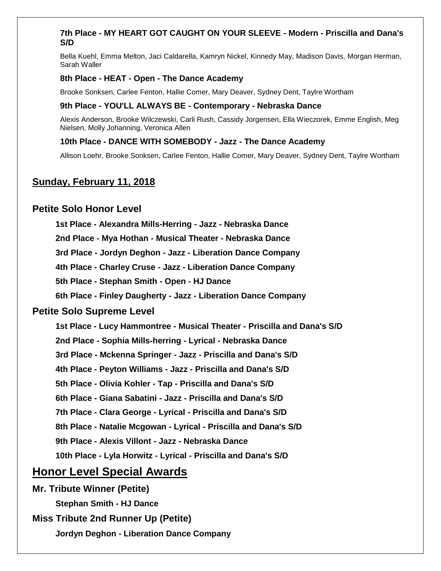#### **7th Place - MY HEART GOT CAUGHT ON YOUR SLEEVE - Modern - Priscilla and Dana's S/D**

Bella Kuehl, Emma Melton, Jaci Caldarella, Kamryn Nickel, Kinnedy May, Madison Davis, Morgan Herman, Sarah Waller

#### **8th Place - HEAT - Open - The Dance Academy**

Brooke Sonksen, Carlee Fenton, Hallie Comer, Mary Deaver, Sydney Dent, Taylre Wortham

#### **9th Place - YOU'LL ALWAYS BE - Contemporary - Nebraska Dance**

Alexis Anderson, Brooke Wilczewski, Carli Rush, Cassidy Jorgensen, Ella Wieczorek, Emme English, Meg Nielsen, Molly Johanning, Veronica Allen

#### **10th Place - DANCE WITH SOMEBODY - Jazz - The Dance Academy**

Allison Loehr, Brooke Sonksen, Carlee Fenton, Hallie Comer, Mary Deaver, Sydney Dent, Taylre Wortham

## **Sunday, February 11, 2018**

### **Petite Solo Honor Level**

**1st Place - Alexandra Mills-Herring - Jazz - Nebraska Dance**

**2nd Place - Mya Hothan - Musical Theater - Nebraska Dance**

**3rd Place - Jordyn Deghon - Jazz - Liberation Dance Company**

**4th Place - Charley Cruse - Jazz - Liberation Dance Company**

**5th Place - Stephan Smith - Open - HJ Dance**

**6th Place - Finley Daugherty - Jazz - Liberation Dance Company**

#### **Petite Solo Supreme Level**

**1st Place - Lucy Hammontree - Musical Theater - Priscilla and Dana's S/D**

**2nd Place - Sophia Mills-herring - Lyrical - Nebraska Dance**

**3rd Place - Mckenna Springer - Jazz - Priscilla and Dana's S/D**

**4th Place - Peyton Williams - Jazz - Priscilla and Dana's S/D**

**5th Place - Olivia Kohler - Tap - Priscilla and Dana's S/D**

**6th Place - Giana Sabatini - Jazz - Priscilla and Dana's S/D**

**7th Place - Clara George - Lyrical - Priscilla and Dana's S/D**

**8th Place - Natalie Mcgowan - Lyrical - Priscilla and Dana's S/D**

**9th Place - Alexis Villont - Jazz - Nebraska Dance**

**10th Place - Lyla Horwitz - Lyrical - Priscilla and Dana's S/D**

## **Honor Level Special Awards**

**Mr. Tribute Winner (Petite)**

**Stephan Smith - HJ Dance**

**Miss Tribute 2nd Runner Up (Petite)**

**Jordyn Deghon - Liberation Dance Company**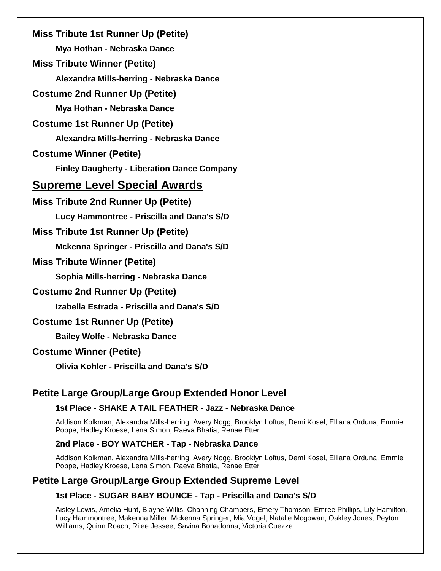| <b>Miss Tribute 1st Runner Up (Petite)</b>         |
|----------------------------------------------------|
| Mya Hothan - Nebraska Dance                        |
| <b>Miss Tribute Winner (Petite)</b>                |
| Alexandra Mills-herring - Nebraska Dance           |
| <b>Costume 2nd Runner Up (Petite)</b>              |
| Mya Hothan - Nebraska Dance                        |
| <b>Costume 1st Runner Up (Petite)</b>              |
| Alexandra Mills-herring - Nebraska Dance           |
| <b>Costume Winner (Petite)</b>                     |
| <b>Finley Daugherty - Liberation Dance Company</b> |
| <b>Supreme Level Special Awards</b>                |
| <b>Miss Tribute 2nd Runner Up (Petite)</b>         |
| Lucy Hammontree - Priscilla and Dana's S/D         |
| <b>Miss Tribute 1st Runner Up (Petite)</b>         |
| Mckenna Springer - Priscilla and Dana's S/D        |
| <b>Miss Tribute Winner (Petite)</b>                |
| Sophia Mills-herring - Nebraska Dance              |
| <b>Costume 2nd Runner Up (Petite)</b>              |
| Izabella Estrada - Priscilla and Dana's S/D        |
| <b>Costume 1st Runner Up (Petite)</b>              |
| <b>Bailey Wolfe - Nebraska Dance</b>               |
| <b>Costume Winner (Petite)</b>                     |
| <b>Olivia Kohler - Priscilla and Dana's S/D</b>    |
|                                                    |

## **Petite Large Group/Large Group Extended Honor Level**

#### **1st Place - SHAKE A TAIL FEATHER - Jazz - Nebraska Dance**

Addison Kolkman, Alexandra Mills-herring, Avery Nogg, Brooklyn Loftus, Demi Kosel, Elliana Orduna, Emmie Poppe, Hadley Kroese, Lena Simon, Raeva Bhatia, Renae Etter

#### **2nd Place - BOY WATCHER - Tap - Nebraska Dance**

Addison Kolkman, Alexandra Mills-herring, Avery Nogg, Brooklyn Loftus, Demi Kosel, Elliana Orduna, Emmie Poppe, Hadley Kroese, Lena Simon, Raeva Bhatia, Renae Etter

### **Petite Large Group/Large Group Extended Supreme Level**

#### **1st Place - SUGAR BABY BOUNCE - Tap - Priscilla and Dana's S/D**

Aisley Lewis, Amelia Hunt, Blayne Willis, Channing Chambers, Emery Thomson, Emree Phillips, Lily Hamilton, Lucy Hammontree, Makenna Miller, Mckenna Springer, Mia Vogel, Natalie Mcgowan, Oakley Jones, Peyton Williams, Quinn Roach, Rilee Jessee, Savina Bonadonna, Victoria Cuezze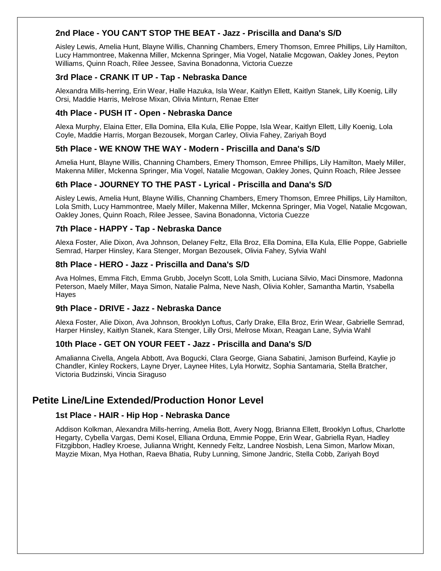#### **2nd Place - YOU CAN'T STOP THE BEAT - Jazz - Priscilla and Dana's S/D**

Aisley Lewis, Amelia Hunt, Blayne Willis, Channing Chambers, Emery Thomson, Emree Phillips, Lily Hamilton, Lucy Hammontree, Makenna Miller, Mckenna Springer, Mia Vogel, Natalie Mcgowan, Oakley Jones, Peyton Williams, Quinn Roach, Rilee Jessee, Savina Bonadonna, Victoria Cuezze

#### **3rd Place - CRANK IT UP - Tap - Nebraska Dance**

Alexandra Mills-herring, Erin Wear, Halle Hazuka, Isla Wear, Kaitlyn Ellett, Kaitlyn Stanek, Lilly Koenig, Lilly Orsi, Maddie Harris, Melrose Mixan, Olivia Minturn, Renae Etter

#### **4th Place - PUSH IT - Open - Nebraska Dance**

Alexa Murphy, Elaina Etter, Ella Domina, Ella Kula, Ellie Poppe, Isla Wear, Kaitlyn Ellett, Lilly Koenig, Lola Coyle, Maddie Harris, Morgan Bezousek, Morgan Carley, Olivia Fahey, Zariyah Boyd

#### **5th Place - WE KNOW THE WAY - Modern - Priscilla and Dana's S/D**

Amelia Hunt, Blayne Willis, Channing Chambers, Emery Thomson, Emree Phillips, Lily Hamilton, Maely Miller, Makenna Miller, Mckenna Springer, Mia Vogel, Natalie Mcgowan, Oakley Jones, Quinn Roach, Rilee Jessee

#### **6th Place - JOURNEY TO THE PAST - Lyrical - Priscilla and Dana's S/D**

Aisley Lewis, Amelia Hunt, Blayne Willis, Channing Chambers, Emery Thomson, Emree Phillips, Lily Hamilton, Lola Smith, Lucy Hammontree, Maely Miller, Makenna Miller, Mckenna Springer, Mia Vogel, Natalie Mcgowan, Oakley Jones, Quinn Roach, Rilee Jessee, Savina Bonadonna, Victoria Cuezze

#### **7th Place - HAPPY - Tap - Nebraska Dance**

Alexa Foster, Alie Dixon, Ava Johnson, Delaney Feltz, Ella Broz, Ella Domina, Ella Kula, Ellie Poppe, Gabrielle Semrad, Harper Hinsley, Kara Stenger, Morgan Bezousek, Olivia Fahey, Sylvia Wahl

#### **8th Place - HERO - Jazz - Priscilla and Dana's S/D**

Ava Holmes, Emma Fitch, Emma Grubb, Jocelyn Scott, Lola Smith, Luciana Silvio, Maci Dinsmore, Madonna Peterson, Maely Miller, Maya Simon, Natalie Palma, Neve Nash, Olivia Kohler, Samantha Martin, Ysabella Hayes

#### **9th Place - DRIVE - Jazz - Nebraska Dance**

Alexa Foster, Alie Dixon, Ava Johnson, Brooklyn Loftus, Carly Drake, Ella Broz, Erin Wear, Gabrielle Semrad, Harper Hinsley, Kaitlyn Stanek, Kara Stenger, Lilly Orsi, Melrose Mixan, Reagan Lane, Sylvia Wahl

#### **10th Place - GET ON YOUR FEET - Jazz - Priscilla and Dana's S/D**

Amalianna Civella, Angela Abbott, Ava Bogucki, Clara George, Giana Sabatini, Jamison Burfeind, Kaylie jo Chandler, Kinley Rockers, Layne Dryer, Laynee Hites, Lyla Horwitz, Sophia Santamaria, Stella Bratcher, Victoria Budzinski, Vincia Siraguso

### **Petite Line/Line Extended/Production Honor Level**

#### **1st Place - HAIR - Hip Hop - Nebraska Dance**

Addison Kolkman, Alexandra Mills-herring, Amelia Bott, Avery Nogg, Brianna Ellett, Brooklyn Loftus, Charlotte Hegarty, Cybella Vargas, Demi Kosel, Elliana Orduna, Emmie Poppe, Erin Wear, Gabriella Ryan, Hadley Fitzgibbon, Hadley Kroese, Julianna Wright, Kennedy Feltz, Landree Nosbish, Lena Simon, Marlow Mixan, Mayzie Mixan, Mya Hothan, Raeva Bhatia, Ruby Lunning, Simone Jandric, Stella Cobb, Zariyah Boyd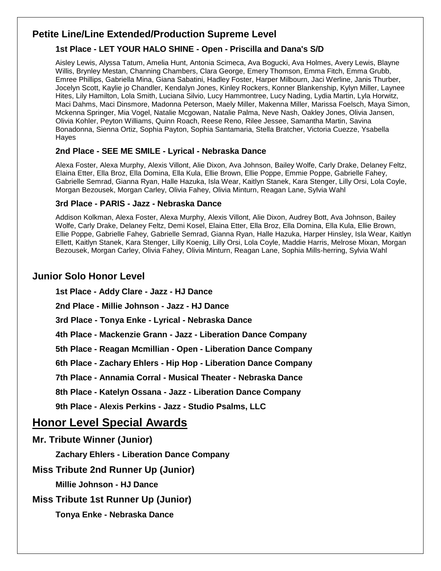## **Petite Line/Line Extended/Production Supreme Level**

### **1st Place - LET YOUR HALO SHINE - Open - Priscilla and Dana's S/D**

Aisley Lewis, Alyssa Tatum, Amelia Hunt, Antonia Scimeca, Ava Bogucki, Ava Holmes, Avery Lewis, Blayne Willis, Brynley Mestan, Channing Chambers, Clara George, Emery Thomson, Emma Fitch, Emma Grubb, Emree Phillips, Gabriella Mina, Giana Sabatini, Hadley Foster, Harper Milbourn, Jaci Werline, Janis Thurber, Jocelyn Scott, Kaylie jo Chandler, Kendalyn Jones, Kinley Rockers, Konner Blankenship, Kylyn Miller, Laynee Hites, Lily Hamilton, Lola Smith, Luciana Silvio, Lucy Hammontree, Lucy Nading, Lydia Martin, Lyla Horwitz, Maci Dahms, Maci Dinsmore, Madonna Peterson, Maely Miller, Makenna Miller, Marissa Foelsch, Maya Simon, Mckenna Springer, Mia Vogel, Natalie Mcgowan, Natalie Palma, Neve Nash, Oakley Jones, Olivia Jansen, Olivia Kohler, Peyton Williams, Quinn Roach, Reese Reno, Rilee Jessee, Samantha Martin, Savina Bonadonna, Sienna Ortiz, Sophia Payton, Sophia Santamaria, Stella Bratcher, Victoria Cuezze, Ysabella Hayes

### **2nd Place - SEE ME SMILE - Lyrical - Nebraska Dance**

Alexa Foster, Alexa Murphy, Alexis Villont, Alie Dixon, Ava Johnson, Bailey Wolfe, Carly Drake, Delaney Feltz, Elaina Etter, Ella Broz, Ella Domina, Ella Kula, Ellie Brown, Ellie Poppe, Emmie Poppe, Gabrielle Fahey, Gabrielle Semrad, Gianna Ryan, Halle Hazuka, Isla Wear, Kaitlyn Stanek, Kara Stenger, Lilly Orsi, Lola Coyle, Morgan Bezousek, Morgan Carley, Olivia Fahey, Olivia Minturn, Reagan Lane, Sylvia Wahl

### **3rd Place - PARIS - Jazz - Nebraska Dance**

Addison Kolkman, Alexa Foster, Alexa Murphy, Alexis Villont, Alie Dixon, Audrey Bott, Ava Johnson, Bailey Wolfe, Carly Drake, Delaney Feltz, Demi Kosel, Elaina Etter, Ella Broz, Ella Domina, Ella Kula, Ellie Brown, Ellie Poppe, Gabrielle Fahey, Gabrielle Semrad, Gianna Ryan, Halle Hazuka, Harper Hinsley, Isla Wear, Kaitlyn Ellett, Kaitlyn Stanek, Kara Stenger, Lilly Koenig, Lilly Orsi, Lola Coyle, Maddie Harris, Melrose Mixan, Morgan Bezousek, Morgan Carley, Olivia Fahey, Olivia Minturn, Reagan Lane, Sophia Mills-herring, Sylvia Wahl

## **Junior Solo Honor Level**

**1st Place - Addy Clare - Jazz - HJ Dance**

**2nd Place - Millie Johnson - Jazz - HJ Dance**

**3rd Place - Tonya Enke - Lyrical - Nebraska Dance**

**4th Place - Mackenzie Grann - Jazz - Liberation Dance Company**

**5th Place - Reagan Mcmillian - Open - Liberation Dance Company**

**6th Place - Zachary Ehlers - Hip Hop - Liberation Dance Company**

**7th Place - Annamia Corral - Musical Theater - Nebraska Dance**

**8th Place - Katelyn Ossana - Jazz - Liberation Dance Company**

**9th Place - Alexis Perkins - Jazz - Studio Psalms, LLC**

## **Honor Level Special Awards**

**Mr. Tribute Winner (Junior)**

**Zachary Ehlers - Liberation Dance Company**

**Miss Tribute 2nd Runner Up (Junior)**

**Millie Johnson - HJ Dance**

## **Miss Tribute 1st Runner Up (Junior)**

**Tonya Enke - Nebraska Dance**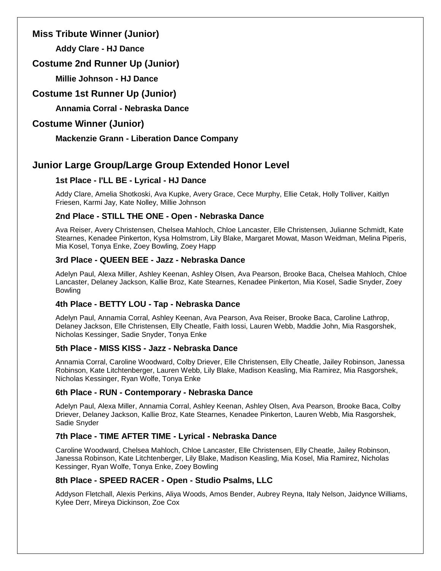### **Miss Tribute Winner (Junior)**

**Addy Clare - HJ Dance**

## **Costume 2nd Runner Up (Junior)**

**Millie Johnson - HJ Dance**

**Costume 1st Runner Up (Junior)**

**Annamia Corral - Nebraska Dance**

## **Costume Winner (Junior)**

**Mackenzie Grann - Liberation Dance Company**

## **Junior Large Group/Large Group Extended Honor Level**

### **1st Place - I'LL BE - Lyrical - HJ Dance**

Addy Clare, Amelia Shotkoski, Ava Kupke, Avery Grace, Cece Murphy, Ellie Cetak, Holly Tolliver, Kaitlyn Friesen, Karmi Jay, Kate Nolley, Millie Johnson

### **2nd Place - STILL THE ONE - Open - Nebraska Dance**

Ava Reiser, Avery Christensen, Chelsea Mahloch, Chloe Lancaster, Elle Christensen, Julianne Schmidt, Kate Stearnes, Kenadee Pinkerton, Kysa Holmstrom, Lily Blake, Margaret Mowat, Mason Weidman, Melina Piperis, Mia Kosel, Tonya Enke, Zoey Bowling, Zoey Happ

### **3rd Place - QUEEN BEE - Jazz - Nebraska Dance**

Adelyn Paul, Alexa Miller, Ashley Keenan, Ashley Olsen, Ava Pearson, Brooke Baca, Chelsea Mahloch, Chloe Lancaster, Delaney Jackson, Kallie Broz, Kate Stearnes, Kenadee Pinkerton, Mia Kosel, Sadie Snyder, Zoey Bowling

### **4th Place - BETTY LOU - Tap - Nebraska Dance**

Adelyn Paul, Annamia Corral, Ashley Keenan, Ava Pearson, Ava Reiser, Brooke Baca, Caroline Lathrop, Delaney Jackson, Elle Christensen, Elly Cheatle, Faith Iossi, Lauren Webb, Maddie John, Mia Rasgorshek, Nicholas Kessinger, Sadie Snyder, Tonya Enke

### **5th Place - MISS KISS - Jazz - Nebraska Dance**

Annamia Corral, Caroline Woodward, Colby Driever, Elle Christensen, Elly Cheatle, Jailey Robinson, Janessa Robinson, Kate Litchtenberger, Lauren Webb, Lily Blake, Madison Keasling, Mia Ramirez, Mia Rasgorshek, Nicholas Kessinger, Ryan Wolfe, Tonya Enke

### **6th Place - RUN - Contemporary - Nebraska Dance**

Adelyn Paul, Alexa Miller, Annamia Corral, Ashley Keenan, Ashley Olsen, Ava Pearson, Brooke Baca, Colby Driever, Delaney Jackson, Kallie Broz, Kate Stearnes, Kenadee Pinkerton, Lauren Webb, Mia Rasgorshek, Sadie Snyder

### **7th Place - TIME AFTER TIME - Lyrical - Nebraska Dance**

Caroline Woodward, Chelsea Mahloch, Chloe Lancaster, Elle Christensen, Elly Cheatle, Jailey Robinson, Janessa Robinson, Kate Litchtenberger, Lily Blake, Madison Keasling, Mia Kosel, Mia Ramirez, Nicholas Kessinger, Ryan Wolfe, Tonya Enke, Zoey Bowling

### **8th Place - SPEED RACER - Open - Studio Psalms, LLC**

Addyson Fletchall, Alexis Perkins, Aliya Woods, Amos Bender, Aubrey Reyna, Italy Nelson, Jaidynce Williams, Kylee Derr, Mireya Dickinson, Zoe Cox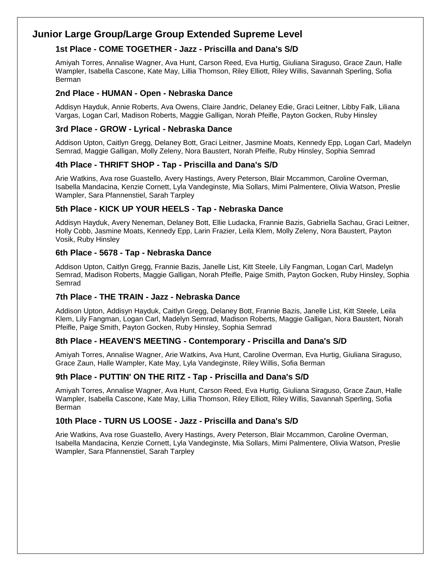## **Junior Large Group/Large Group Extended Supreme Level**

### **1st Place - COME TOGETHER - Jazz - Priscilla and Dana's S/D**

Amiyah Torres, Annalise Wagner, Ava Hunt, Carson Reed, Eva Hurtig, Giuliana Siraguso, Grace Zaun, Halle Wampler, Isabella Cascone, Kate May, Lillia Thomson, Riley Elliott, Riley Willis, Savannah Sperling, Sofia Berman

#### **2nd Place - HUMAN - Open - Nebraska Dance**

Addisyn Hayduk, Annie Roberts, Ava Owens, Claire Jandric, Delaney Edie, Graci Leitner, Libby Falk, Liliana Vargas, Logan Carl, Madison Roberts, Maggie Galligan, Norah Pfeifle, Payton Gocken, Ruby Hinsley

#### **3rd Place - GROW - Lyrical - Nebraska Dance**

Addison Upton, Caitlyn Gregg, Delaney Bott, Graci Leitner, Jasmine Moats, Kennedy Epp, Logan Carl, Madelyn Semrad, Maggie Galligan, Molly Zeleny, Nora Baustert, Norah Pfeifle, Ruby Hinsley, Sophia Semrad

#### **4th Place - THRIFT SHOP - Tap - Priscilla and Dana's S/D**

Arie Watkins, Ava rose Guastello, Avery Hastings, Avery Peterson, Blair Mccammon, Caroline Overman, Isabella Mandacina, Kenzie Cornett, Lyla Vandeginste, Mia Sollars, Mimi Palmentere, Olivia Watson, Preslie Wampler, Sara Pfannenstiel, Sarah Tarpley

#### **5th Place - KICK UP YOUR HEELS - Tap - Nebraska Dance**

Addisyn Hayduk, Avery Neneman, Delaney Bott, Ellie Ludacka, Frannie Bazis, Gabriella Sachau, Graci Leitner, Holly Cobb, Jasmine Moats, Kennedy Epp, Larin Frazier, Leila Klem, Molly Zeleny, Nora Baustert, Payton Vosik, Ruby Hinsley

#### **6th Place - 5678 - Tap - Nebraska Dance**

Addison Upton, Caitlyn Gregg, Frannie Bazis, Janelle List, Kitt Steele, Lily Fangman, Logan Carl, Madelyn Semrad, Madison Roberts, Maggie Galligan, Norah Pfeifle, Paige Smith, Payton Gocken, Ruby Hinsley, Sophia Semrad

#### **7th Place - THE TRAIN - Jazz - Nebraska Dance**

Addison Upton, Addisyn Hayduk, Caitlyn Gregg, Delaney Bott, Frannie Bazis, Janelle List, Kitt Steele, Leila Klem, Lily Fangman, Logan Carl, Madelyn Semrad, Madison Roberts, Maggie Galligan, Nora Baustert, Norah Pfeifle, Paige Smith, Payton Gocken, Ruby Hinsley, Sophia Semrad

#### **8th Place - HEAVEN'S MEETING - Contemporary - Priscilla and Dana's S/D**

Amiyah Torres, Annalise Wagner, Arie Watkins, Ava Hunt, Caroline Overman, Eva Hurtig, Giuliana Siraguso, Grace Zaun, Halle Wampler, Kate May, Lyla Vandeginste, Riley Willis, Sofia Berman

#### **9th Place - PUTTIN' ON THE RITZ - Tap - Priscilla and Dana's S/D**

Amiyah Torres, Annalise Wagner, Ava Hunt, Carson Reed, Eva Hurtig, Giuliana Siraguso, Grace Zaun, Halle Wampler, Isabella Cascone, Kate May, Lillia Thomson, Riley Elliott, Riley Willis, Savannah Sperling, Sofia Berman

#### **10th Place - TURN US LOOSE - Jazz - Priscilla and Dana's S/D**

Arie Watkins, Ava rose Guastello, Avery Hastings, Avery Peterson, Blair Mccammon, Caroline Overman, Isabella Mandacina, Kenzie Cornett, Lyla Vandeginste, Mia Sollars, Mimi Palmentere, Olivia Watson, Preslie Wampler, Sara Pfannenstiel, Sarah Tarpley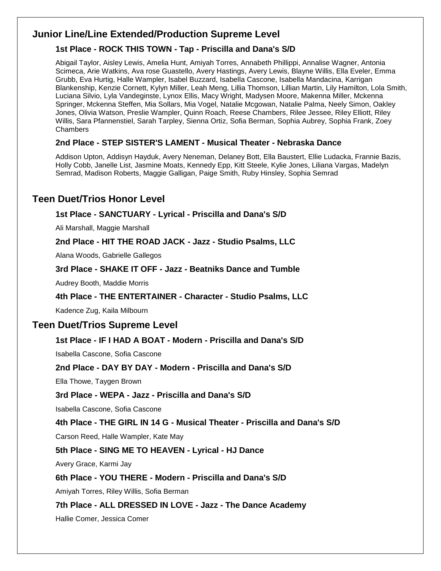## **Junior Line/Line Extended/Production Supreme Level**

### **1st Place - ROCK THIS TOWN - Tap - Priscilla and Dana's S/D**

Abigail Taylor, Aisley Lewis, Amelia Hunt, Amiyah Torres, Annabeth Phillippi, Annalise Wagner, Antonia Scimeca, Arie Watkins, Ava rose Guastello, Avery Hastings, Avery Lewis, Blayne Willis, Ella Eveler, Emma Grubb, Eva Hurtig, Halle Wampler, Isabel Buzzard, Isabella Cascone, Isabella Mandacina, Karrigan Blankenship, Kenzie Cornett, Kylyn Miller, Leah Meng, Lillia Thomson, Lillian Martin, Lily Hamilton, Lola Smith, Luciana Silvio, Lyla Vandeginste, Lynox Ellis, Macy Wright, Madysen Moore, Makenna Miller, Mckenna Springer, Mckenna Steffen, Mia Sollars, Mia Vogel, Natalie Mcgowan, Natalie Palma, Neely Simon, Oakley Jones, Olivia Watson, Preslie Wampler, Quinn Roach, Reese Chambers, Rilee Jessee, Riley Elliott, Riley Willis, Sara Pfannenstiel, Sarah Tarpley, Sienna Ortiz, Sofia Berman, Sophia Aubrey, Sophia Frank, Zoey Chambers

### **2nd Place - STEP SISTER'S LAMENT - Musical Theater - Nebraska Dance**

Addison Upton, Addisyn Hayduk, Avery Neneman, Delaney Bott, Ella Baustert, Ellie Ludacka, Frannie Bazis, Holly Cobb, Janelle List, Jasmine Moats, Kennedy Epp, Kitt Steele, Kylie Jones, Liliana Vargas, Madelyn Semrad, Madison Roberts, Maggie Galligan, Paige Smith, Ruby Hinsley, Sophia Semrad

## **Teen Duet/Trios Honor Level**

### **1st Place - SANCTUARY - Lyrical - Priscilla and Dana's S/D**

Ali Marshall, Maggie Marshall

### **2nd Place - HIT THE ROAD JACK - Jazz - Studio Psalms, LLC**

Alana Woods, Gabrielle Gallegos

### **3rd Place - SHAKE IT OFF - Jazz - Beatniks Dance and Tumble**

Audrey Booth, Maddie Morris

### **4th Place - THE ENTERTAINER - Character - Studio Psalms, LLC**

Kadence Zug, Kaila Milbourn

### **Teen Duet/Trios Supreme Level**

### **1st Place - IF I HAD A BOAT - Modern - Priscilla and Dana's S/D**

Isabella Cascone, Sofia Cascone

#### **2nd Place - DAY BY DAY - Modern - Priscilla and Dana's S/D**

Ella Thowe, Taygen Brown

#### **3rd Place - WEPA - Jazz - Priscilla and Dana's S/D**

Isabella Cascone, Sofia Cascone

#### **4th Place - THE GIRL IN 14 G - Musical Theater - Priscilla and Dana's S/D**

Carson Reed, Halle Wampler, Kate May

### **5th Place - SING ME TO HEAVEN - Lyrical - HJ Dance**

Avery Grace, Karmi Jay

#### **6th Place - YOU THERE - Modern - Priscilla and Dana's S/D**

Amiyah Torres, Riley Willis, Sofia Berman

#### **7th Place - ALL DRESSED IN LOVE - Jazz - The Dance Academy**

Hallie Comer, Jessica Comer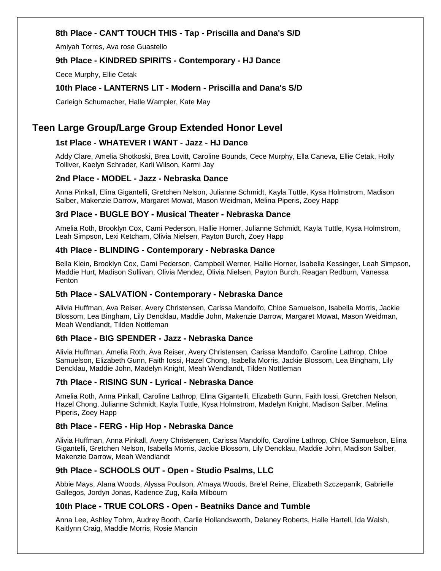#### **8th Place - CAN'T TOUCH THIS - Tap - Priscilla and Dana's S/D**

Amiyah Torres, Ava rose Guastello

#### **9th Place - KINDRED SPIRITS - Contemporary - HJ Dance**

Cece Murphy, Ellie Cetak

#### **10th Place - LANTERNS LIT - Modern - Priscilla and Dana's S/D**

Carleigh Schumacher, Halle Wampler, Kate May

## **Teen Large Group/Large Group Extended Honor Level**

### **1st Place - WHATEVER I WANT - Jazz - HJ Dance**

Addy Clare, Amelia Shotkoski, Brea Lovitt, Caroline Bounds, Cece Murphy, Ella Caneva, Ellie Cetak, Holly Tolliver, Kaelyn Schrader, Karli Wilson, Karmi Jay

#### **2nd Place - MODEL - Jazz - Nebraska Dance**

Anna Pinkall, Elina Gigantelli, Gretchen Nelson, Julianne Schmidt, Kayla Tuttle, Kysa Holmstrom, Madison Salber, Makenzie Darrow, Margaret Mowat, Mason Weidman, Melina Piperis, Zoey Happ

#### **3rd Place - BUGLE BOY - Musical Theater - Nebraska Dance**

Amelia Roth, Brooklyn Cox, Cami Pederson, Hallie Horner, Julianne Schmidt, Kayla Tuttle, Kysa Holmstrom, Leah Simpson, Lexi Ketcham, Olivia Nielsen, Payton Burch, Zoey Happ

#### **4th Place - BLINDING - Contemporary - Nebraska Dance**

Bella Klein, Brooklyn Cox, Cami Pederson, Campbell Werner, Hallie Horner, Isabella Kessinger, Leah Simpson, Maddie Hurt, Madison Sullivan, Olivia Mendez, Olivia Nielsen, Payton Burch, Reagan Redburn, Vanessa Fenton

#### **5th Place - SALVATION - Contemporary - Nebraska Dance**

Alivia Huffman, Ava Reiser, Avery Christensen, Carissa Mandolfo, Chloe Samuelson, Isabella Morris, Jackie Blossom, Lea Bingham, Lily Dencklau, Maddie John, Makenzie Darrow, Margaret Mowat, Mason Weidman, Meah Wendlandt, Tilden Nottleman

#### **6th Place - BIG SPENDER - Jazz - Nebraska Dance**

Alivia Huffman, Amelia Roth, Ava Reiser, Avery Christensen, Carissa Mandolfo, Caroline Lathrop, Chloe Samuelson, Elizabeth Gunn, Faith Iossi, Hazel Chong, Isabella Morris, Jackie Blossom, Lea Bingham, Lily Dencklau, Maddie John, Madelyn Knight, Meah Wendlandt, Tilden Nottleman

#### **7th Place - RISING SUN - Lyrical - Nebraska Dance**

Amelia Roth, Anna Pinkall, Caroline Lathrop, Elina Gigantelli, Elizabeth Gunn, Faith Iossi, Gretchen Nelson, Hazel Chong, Julianne Schmidt, Kayla Tuttle, Kysa Holmstrom, Madelyn Knight, Madison Salber, Melina Piperis, Zoey Happ

#### **8th Place - FERG - Hip Hop - Nebraska Dance**

Alivia Huffman, Anna Pinkall, Avery Christensen, Carissa Mandolfo, Caroline Lathrop, Chloe Samuelson, Elina Gigantelli, Gretchen Nelson, Isabella Morris, Jackie Blossom, Lily Dencklau, Maddie John, Madison Salber, Makenzie Darrow, Meah Wendlandt

#### **9th Place - SCHOOLS OUT - Open - Studio Psalms, LLC**

Abbie Mays, Alana Woods, Alyssa Poulson, A'maya Woods, Bre'el Reine, Elizabeth Szczepanik, Gabrielle Gallegos, Jordyn Jonas, Kadence Zug, Kaila Milbourn

#### **10th Place - TRUE COLORS - Open - Beatniks Dance and Tumble**

Anna Lee, Ashley Tohm, Audrey Booth, Carlie Hollandsworth, Delaney Roberts, Halle Hartell, Ida Walsh, Kaitlynn Craig, Maddie Morris, Rosie Mancin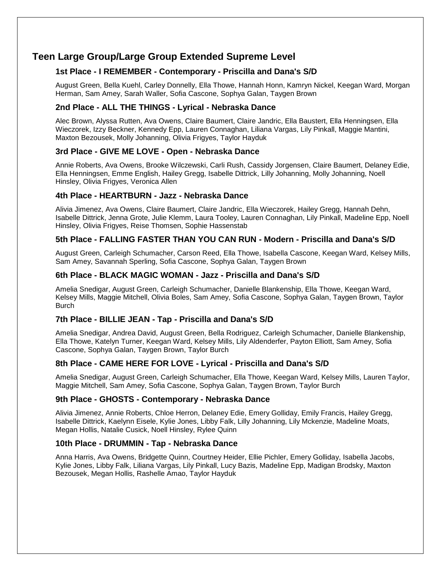## **Teen Large Group/Large Group Extended Supreme Level**

### **1st Place - I REMEMBER - Contemporary - Priscilla and Dana's S/D**

August Green, Bella Kuehl, Carley Donnelly, Ella Thowe, Hannah Honn, Kamryn Nickel, Keegan Ward, Morgan Herman, Sam Amey, Sarah Waller, Sofia Cascone, Sophya Galan, Taygen Brown

#### **2nd Place - ALL THE THINGS - Lyrical - Nebraska Dance**

Alec Brown, Alyssa Rutten, Ava Owens, Claire Baumert, Claire Jandric, Ella Baustert, Ella Henningsen, Ella Wieczorek, Izzy Beckner, Kennedy Epp, Lauren Connaghan, Liliana Vargas, Lily Pinkall, Maggie Mantini, Maxton Bezousek, Molly Johanning, Olivia Frigyes, Taylor Hayduk

#### **3rd Place - GIVE ME LOVE - Open - Nebraska Dance**

Annie Roberts, Ava Owens, Brooke Wilczewski, Carli Rush, Cassidy Jorgensen, Claire Baumert, Delaney Edie, Ella Henningsen, Emme English, Hailey Gregg, Isabelle Dittrick, Lilly Johanning, Molly Johanning, Noell Hinsley, Olivia Frigyes, Veronica Allen

#### **4th Place - HEARTBURN - Jazz - Nebraska Dance**

Alivia Jimenez, Ava Owens, Claire Baumert, Claire Jandric, Ella Wieczorek, Hailey Gregg, Hannah Dehn, Isabelle Dittrick, Jenna Grote, Julie Klemm, Laura Tooley, Lauren Connaghan, Lily Pinkall, Madeline Epp, Noell Hinsley, Olivia Frigyes, Reise Thomsen, Sophie Hassenstab

#### **5th Place - FALLING FASTER THAN YOU CAN RUN - Modern - Priscilla and Dana's S/D**

August Green, Carleigh Schumacher, Carson Reed, Ella Thowe, Isabella Cascone, Keegan Ward, Kelsey Mills, Sam Amey, Savannah Sperling, Sofia Cascone, Sophya Galan, Taygen Brown

#### **6th Place - BLACK MAGIC WOMAN - Jazz - Priscilla and Dana's S/D**

Amelia Snedigar, August Green, Carleigh Schumacher, Danielle Blankenship, Ella Thowe, Keegan Ward, Kelsey Mills, Maggie Mitchell, Olivia Boles, Sam Amey, Sofia Cascone, Sophya Galan, Taygen Brown, Taylor Burch

### **7th Place - BILLIE JEAN - Tap - Priscilla and Dana's S/D**

Amelia Snedigar, Andrea David, August Green, Bella Rodriguez, Carleigh Schumacher, Danielle Blankenship, Ella Thowe, Katelyn Turner, Keegan Ward, Kelsey Mills, Lily Aldenderfer, Payton Elliott, Sam Amey, Sofia Cascone, Sophya Galan, Taygen Brown, Taylor Burch

#### **8th Place - CAME HERE FOR LOVE - Lyrical - Priscilla and Dana's S/D**

Amelia Snedigar, August Green, Carleigh Schumacher, Ella Thowe, Keegan Ward, Kelsey Mills, Lauren Taylor, Maggie Mitchell, Sam Amey, Sofia Cascone, Sophya Galan, Taygen Brown, Taylor Burch

#### **9th Place - GHOSTS - Contemporary - Nebraska Dance**

Alivia Jimenez, Annie Roberts, Chloe Herron, Delaney Edie, Emery Golliday, Emily Francis, Hailey Gregg, Isabelle Dittrick, Kaelynn Eisele, Kylie Jones, Libby Falk, Lilly Johanning, Lily Mckenzie, Madeline Moats, Megan Hollis, Natalie Cusick, Noell Hinsley, Rylee Quinn

#### **10th Place - DRUMMIN - Tap - Nebraska Dance**

Anna Harris, Ava Owens, Bridgette Quinn, Courtney Heider, Ellie Pichler, Emery Golliday, Isabella Jacobs, Kylie Jones, Libby Falk, Liliana Vargas, Lily Pinkall, Lucy Bazis, Madeline Epp, Madigan Brodsky, Maxton Bezousek, Megan Hollis, Rashelle Amao, Taylor Hayduk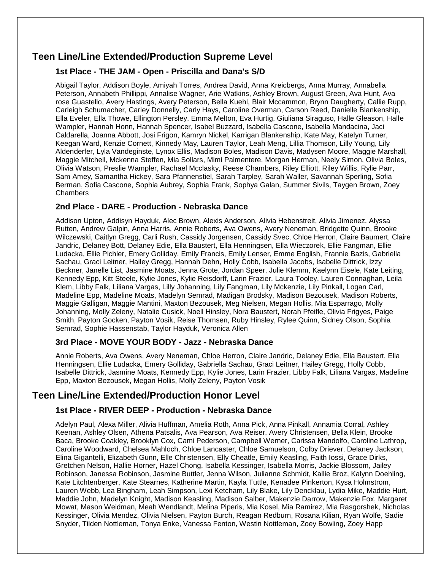## **Teen Line/Line Extended/Production Supreme Level**

### **1st Place - THE JAM - Open - Priscilla and Dana's S/D**

Abigail Taylor, Addison Boyle, Amiyah Torres, Andrea David, Anna Kreicbergs, Anna Murray, Annabella Peterson, Annabeth Phillippi, Annalise Wagner, Arie Watkins, Ashley Brown, August Green, Ava Hunt, Ava rose Guastello, Avery Hastings, Avery Peterson, Bella Kuehl, Blair Mccammon, Brynn Daugherty, Callie Rupp, Carleigh Schumacher, Carley Donnelly, Carly Hays, Caroline Overman, Carson Reed, Danielle Blankenship, Ella Eveler, Ella Thowe, Ellington Persley, Emma Melton, Eva Hurtig, Giuliana Siraguso, Halle Gleason, Halle Wampler, Hannah Honn, Hannah Spencer, Isabel Buzzard, Isabella Cascone, Isabella Mandacina, Jaci Caldarella, Joanna Abbott, Josi Frigon, Kamryn Nickel, Karrigan Blankenship, Kate May, Katelyn Turner, Keegan Ward, Kenzie Cornett, Kinnedy May, Lauren Taylor, Leah Meng, Lillia Thomson, Lilly Young, Lily Aldenderfer, Lyla Vandeginste, Lynox Ellis, Madison Boles, Madison Davis, Madysen Moore, Maggie Marshall, Maggie Mitchell, Mckenna Steffen, Mia Sollars, Mimi Palmentere, Morgan Herman, Neely Simon, Olivia Boles, Olivia Watson, Preslie Wampler, Rachael Mcclasky, Reese Chambers, Riley Elliott, Riley Willis, Rylie Parr, Sam Amey, Samantha Hickey, Sara Pfannenstiel, Sarah Tarpley, Sarah Waller, Savannah Sperling, Sofia Berman, Sofia Cascone, Sophia Aubrey, Sophia Frank, Sophya Galan, Summer Sivils, Taygen Brown, Zoey Chambers

#### **2nd Place - DARE - Production - Nebraska Dance**

Addison Upton, Addisyn Hayduk, Alec Brown, Alexis Anderson, Alivia Hebenstreit, Alivia Jimenez, Alyssa Rutten, Andrew Galpin, Anna Harris, Annie Roberts, Ava Owens, Avery Neneman, Bridgette Quinn, Brooke Wilczewski, Caitlyn Gregg, Carli Rush, Cassidy Jorgensen, Cassidy Svec, Chloe Herron, Claire Baumert, Claire Jandric, Delaney Bott, Delaney Edie, Ella Baustert, Ella Henningsen, Ella Wieczorek, Ellie Fangman, Ellie Ludacka, Ellie Pichler, Emery Golliday, Emily Francis, Emily Lenser, Emme English, Frannie Bazis, Gabriella Sachau, Graci Leitner, Hailey Gregg, Hannah Dehn, Holly Cobb, Isabella Jacobs, Isabelle Dittrick, Izzy Beckner, Janelle List, Jasmine Moats, Jenna Grote, Jordan Speer, Julie Klemm, Kaelynn Eisele, Kate Leiting, Kennedy Epp, Kitt Steele, Kylie Jones, Kylie Reisdorff, Larin Frazier, Laura Tooley, Lauren Connaghan, Leila Klem, Libby Falk, Liliana Vargas, Lilly Johanning, Lily Fangman, Lily Mckenzie, Lily Pinkall, Logan Carl, Madeline Epp, Madeline Moats, Madelyn Semrad, Madigan Brodsky, Madison Bezousek, Madison Roberts, Maggie Galligan, Maggie Mantini, Maxton Bezousek, Meg Nielsen, Megan Hollis, Mia Esparrago, Molly Johanning, Molly Zeleny, Natalie Cusick, Noell Hinsley, Nora Baustert, Norah Pfeifle, Olivia Frigyes, Paige Smith, Payton Gocken, Payton Vosik, Reise Thomsen, Ruby Hinsley, Rylee Quinn, Sidney Olson, Sophia Semrad, Sophie Hassenstab, Taylor Hayduk, Veronica Allen

#### **3rd Place - MOVE YOUR BODY - Jazz - Nebraska Dance**

Annie Roberts, Ava Owens, Avery Neneman, Chloe Herron, Claire Jandric, Delaney Edie, Ella Baustert, Ella Henningsen, Ellie Ludacka, Emery Golliday, Gabriella Sachau, Graci Leitner, Hailey Gregg, Holly Cobb, Isabelle Dittrick, Jasmine Moats, Kennedy Epp, Kylie Jones, Larin Frazier, Libby Falk, Liliana Vargas, Madeline Epp, Maxton Bezousek, Megan Hollis, Molly Zeleny, Payton Vosik

### **Teen Line/Line Extended/Production Honor Level**

#### **1st Place - RIVER DEEP - Production - Nebraska Dance**

Adelyn Paul, Alexa Miller, Alivia Huffman, Amelia Roth, Anna Pick, Anna Pinkall, Annamia Corral, Ashley Keenan, Ashley Olsen, Athena Patsalis, Ava Pearson, Ava Reiser, Avery Christensen, Bella Klein, Brooke Baca, Brooke Coakley, Brooklyn Cox, Cami Pederson, Campbell Werner, Carissa Mandolfo, Caroline Lathrop, Caroline Woodward, Chelsea Mahloch, Chloe Lancaster, Chloe Samuelson, Colby Driever, Delaney Jackson, Elina Gigantelli, Elizabeth Gunn, Elle Christensen, Elly Cheatle, Emily Keasling, Faith Iossi, Grace Dirks, Gretchen Nelson, Hallie Horner, Hazel Chong, Isabella Kessinger, Isabella Morris, Jackie Blossom, Jailey Robinson, Janessa Robinson, Jasmine Buttler, Jenna Wilson, Julianne Schmidt, Kallie Broz, Kalynn Doehling, Kate Litchtenberger, Kate Stearnes, Katherine Martin, Kayla Tuttle, Kenadee Pinkerton, Kysa Holmstrom, Lauren Webb, Lea Bingham, Leah Simpson, Lexi Ketcham, Lily Blake, Lily Dencklau, Lydia Mike, Maddie Hurt, Maddie John, Madelyn Knight, Madison Keasling, Madison Salber, Makenzie Darrow, Makenzie Fox, Margaret Mowat, Mason Weidman, Meah Wendlandt, Melina Piperis, Mia Kosel, Mia Ramirez, Mia Rasgorshek, Nicholas Kessinger, Olivia Mendez, Olivia Nielsen, Payton Burch, Reagan Redburn, Rosana Kilian, Ryan Wolfe, Sadie Snyder, Tilden Nottleman, Tonya Enke, Vanessa Fenton, Westin Nottleman, Zoey Bowling, Zoey Happ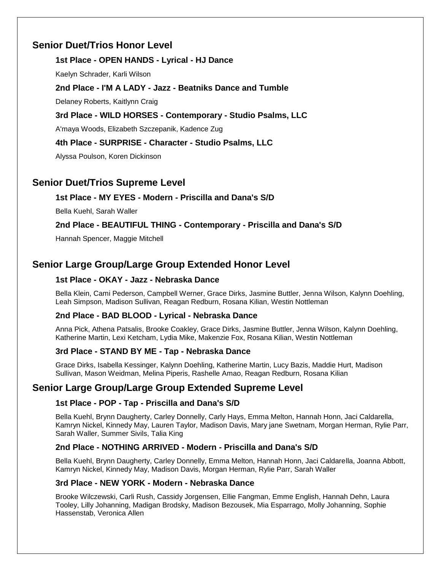## **Senior Duet/Trios Honor Level**

### **1st Place - OPEN HANDS - Lyrical - HJ Dance**

Kaelyn Schrader, Karli Wilson

### **2nd Place - I'M A LADY - Jazz - Beatniks Dance and Tumble**

Delaney Roberts, Kaitlynn Craig

### **3rd Place - WILD HORSES - Contemporary - Studio Psalms, LLC**

A'maya Woods, Elizabeth Szczepanik, Kadence Zug

### **4th Place - SURPRISE - Character - Studio Psalms, LLC**

Alyssa Poulson, Koren Dickinson

### **Senior Duet/Trios Supreme Level**

### **1st Place - MY EYES - Modern - Priscilla and Dana's S/D**

Bella Kuehl, Sarah Waller

### **2nd Place - BEAUTIFUL THING - Contemporary - Priscilla and Dana's S/D**

Hannah Spencer, Maggie Mitchell

## **Senior Large Group/Large Group Extended Honor Level**

### **1st Place - OKAY - Jazz - Nebraska Dance**

Bella Klein, Cami Pederson, Campbell Werner, Grace Dirks, Jasmine Buttler, Jenna Wilson, Kalynn Doehling, Leah Simpson, Madison Sullivan, Reagan Redburn, Rosana Kilian, Westin Nottleman

#### **2nd Place - BAD BLOOD - Lyrical - Nebraska Dance**

Anna Pick, Athena Patsalis, Brooke Coakley, Grace Dirks, Jasmine Buttler, Jenna Wilson, Kalynn Doehling, Katherine Martin, Lexi Ketcham, Lydia Mike, Makenzie Fox, Rosana Kilian, Westin Nottleman

### **3rd Place - STAND BY ME - Tap - Nebraska Dance**

Grace Dirks, Isabella Kessinger, Kalynn Doehling, Katherine Martin, Lucy Bazis, Maddie Hurt, Madison Sullivan, Mason Weidman, Melina Piperis, Rashelle Amao, Reagan Redburn, Rosana Kilian

## **Senior Large Group/Large Group Extended Supreme Level**

#### **1st Place - POP - Tap - Priscilla and Dana's S/D**

Bella Kuehl, Brynn Daugherty, Carley Donnelly, Carly Hays, Emma Melton, Hannah Honn, Jaci Caldarella, Kamryn Nickel, Kinnedy May, Lauren Taylor, Madison Davis, Mary jane Swetnam, Morgan Herman, Rylie Parr, Sarah Waller, Summer Sivils, Talia King

#### **2nd Place - NOTHING ARRIVED - Modern - Priscilla and Dana's S/D**

Bella Kuehl, Brynn Daugherty, Carley Donnelly, Emma Melton, Hannah Honn, Jaci Caldarella, Joanna Abbott, Kamryn Nickel, Kinnedy May, Madison Davis, Morgan Herman, Rylie Parr, Sarah Waller

#### **3rd Place - NEW YORK - Modern - Nebraska Dance**

Brooke Wilczewski, Carli Rush, Cassidy Jorgensen, Ellie Fangman, Emme English, Hannah Dehn, Laura Tooley, Lilly Johanning, Madigan Brodsky, Madison Bezousek, Mia Esparrago, Molly Johanning, Sophie Hassenstab, Veronica Allen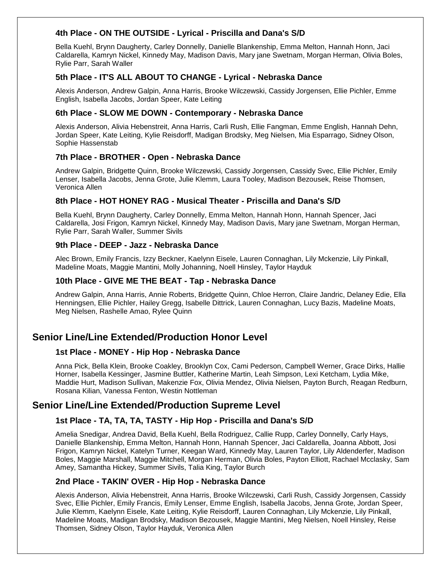#### **4th Place - ON THE OUTSIDE - Lyrical - Priscilla and Dana's S/D**

Bella Kuehl, Brynn Daugherty, Carley Donnelly, Danielle Blankenship, Emma Melton, Hannah Honn, Jaci Caldarella, Kamryn Nickel, Kinnedy May, Madison Davis, Mary jane Swetnam, Morgan Herman, Olivia Boles, Rylie Parr, Sarah Waller

#### **5th Place - IT'S ALL ABOUT TO CHANGE - Lyrical - Nebraska Dance**

Alexis Anderson, Andrew Galpin, Anna Harris, Brooke Wilczewski, Cassidy Jorgensen, Ellie Pichler, Emme English, Isabella Jacobs, Jordan Speer, Kate Leiting

#### **6th Place - SLOW ME DOWN - Contemporary - Nebraska Dance**

Alexis Anderson, Alivia Hebenstreit, Anna Harris, Carli Rush, Ellie Fangman, Emme English, Hannah Dehn, Jordan Speer, Kate Leiting, Kylie Reisdorff, Madigan Brodsky, Meg Nielsen, Mia Esparrago, Sidney Olson, Sophie Hassenstab

#### **7th Place - BROTHER - Open - Nebraska Dance**

Andrew Galpin, Bridgette Quinn, Brooke Wilczewski, Cassidy Jorgensen, Cassidy Svec, Ellie Pichler, Emily Lenser, Isabella Jacobs, Jenna Grote, Julie Klemm, Laura Tooley, Madison Bezousek, Reise Thomsen, Veronica Allen

#### **8th Place - HOT HONEY RAG - Musical Theater - Priscilla and Dana's S/D**

Bella Kuehl, Brynn Daugherty, Carley Donnelly, Emma Melton, Hannah Honn, Hannah Spencer, Jaci Caldarella, Josi Frigon, Kamryn Nickel, Kinnedy May, Madison Davis, Mary jane Swetnam, Morgan Herman, Rylie Parr, Sarah Waller, Summer Sivils

#### **9th Place - DEEP - Jazz - Nebraska Dance**

Alec Brown, Emily Francis, Izzy Beckner, Kaelynn Eisele, Lauren Connaghan, Lily Mckenzie, Lily Pinkall, Madeline Moats, Maggie Mantini, Molly Johanning, Noell Hinsley, Taylor Hayduk

#### **10th Place - GIVE ME THE BEAT - Tap - Nebraska Dance**

Andrew Galpin, Anna Harris, Annie Roberts, Bridgette Quinn, Chloe Herron, Claire Jandric, Delaney Edie, Ella Henningsen, Ellie Pichler, Hailey Gregg, Isabelle Dittrick, Lauren Connaghan, Lucy Bazis, Madeline Moats, Meg Nielsen, Rashelle Amao, Rylee Quinn

### **Senior Line/Line Extended/Production Honor Level**

#### **1st Place - MONEY - Hip Hop - Nebraska Dance**

Anna Pick, Bella Klein, Brooke Coakley, Brooklyn Cox, Cami Pederson, Campbell Werner, Grace Dirks, Hallie Horner, Isabella Kessinger, Jasmine Buttler, Katherine Martin, Leah Simpson, Lexi Ketcham, Lydia Mike, Maddie Hurt, Madison Sullivan, Makenzie Fox, Olivia Mendez, Olivia Nielsen, Payton Burch, Reagan Redburn, Rosana Kilian, Vanessa Fenton, Westin Nottleman

### **Senior Line/Line Extended/Production Supreme Level**

#### **1st Place - TA, TA, TA, TASTY - Hip Hop - Priscilla and Dana's S/D**

Amelia Snedigar, Andrea David, Bella Kuehl, Bella Rodriguez, Callie Rupp, Carley Donnelly, Carly Hays, Danielle Blankenship, Emma Melton, Hannah Honn, Hannah Spencer, Jaci Caldarella, Joanna Abbott, Josi Frigon, Kamryn Nickel, Katelyn Turner, Keegan Ward, Kinnedy May, Lauren Taylor, Lily Aldenderfer, Madison Boles, Maggie Marshall, Maggie Mitchell, Morgan Herman, Olivia Boles, Payton Elliott, Rachael Mcclasky, Sam Amey, Samantha Hickey, Summer Sivils, Talia King, Taylor Burch

#### **2nd Place - TAKIN' OVER - Hip Hop - Nebraska Dance**

Alexis Anderson, Alivia Hebenstreit, Anna Harris, Brooke Wilczewski, Carli Rush, Cassidy Jorgensen, Cassidy Svec, Ellie Pichler, Emily Francis, Emily Lenser, Emme English, Isabella Jacobs, Jenna Grote, Jordan Speer, Julie Klemm, Kaelynn Eisele, Kate Leiting, Kylie Reisdorff, Lauren Connaghan, Lily Mckenzie, Lily Pinkall, Madeline Moats, Madigan Brodsky, Madison Bezousek, Maggie Mantini, Meg Nielsen, Noell Hinsley, Reise Thomsen, Sidney Olson, Taylor Hayduk, Veronica Allen